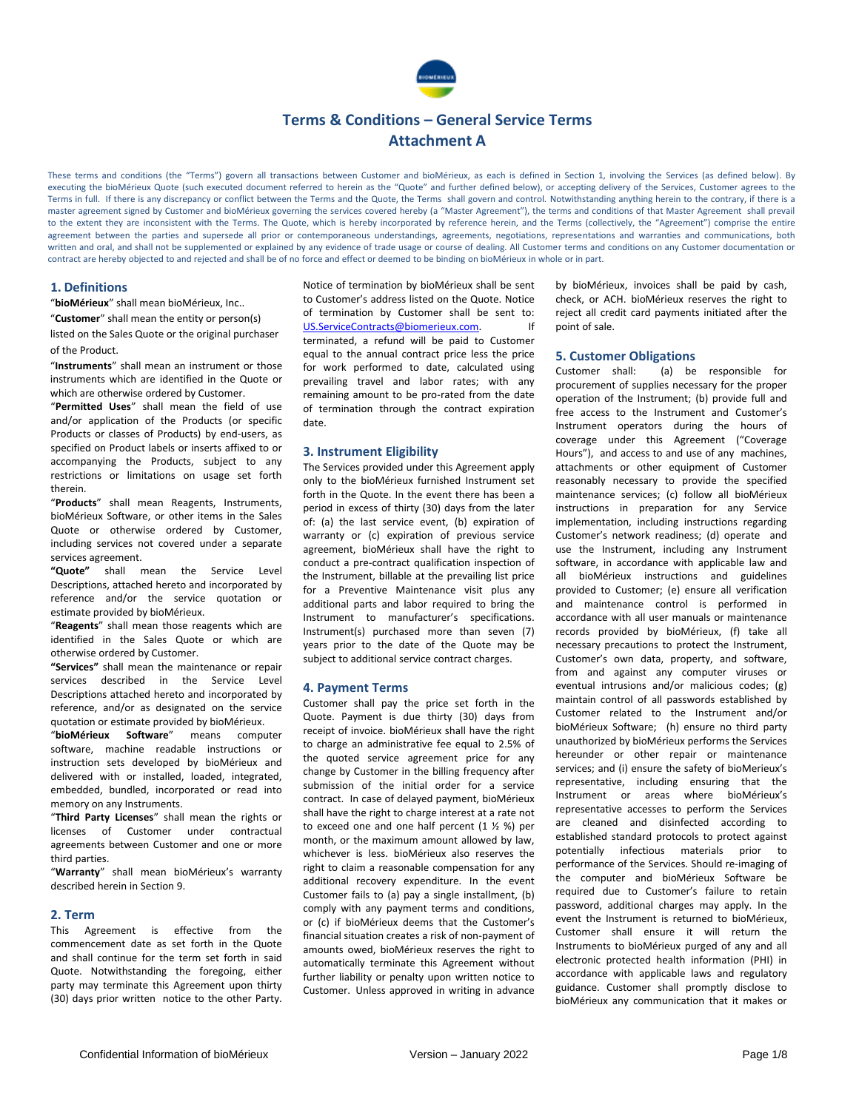

These terms and conditions (the "Terms") govern all transactions between Customer and bioMérieux, as each is defined in Section 1, involving the Services (as defined below). By executing the bioMérieux Quote (such executed document referred to herein as the "Quote" and further defined below), or accepting delivery of the Services, Customer agrees to the Terms in full. If there is any discrepancy or conflict between the Terms and the Quote, the Terms shall govern and control. Notwithstanding anything herein to the contrary, if there is a master agreement signed by Customer and bioMérieux governing the services covered hereby (a "Master Agreement"), the terms and conditions of that Master Agreement shall prevail to the extent they are inconsistent with the Terms. The Quote, which is hereby incorporated by reference herein, and the Terms (collectively, the "Agreement") comprise the entire agreement between the parties and supersede all prior or contemporaneous understandings, agreements, negotiations, representations and warranties and communications, both written and oral, and shall not be supplemented or explained by any evidence of trade usage or course of dealing. All Customer terms and conditions on any Customer documentation or contract are hereby objected to and rejected and shall be of no force and effect or deemed to be binding on bioMérieux in whole or in part.

### **1. Definitions**

"**bioMérieux**" shall mean bioMérieux, Inc..

"**Customer**" shall mean the entity or person(s) listed on the Sales Quote or the original purchaser of the Product.

"**Instruments**" shall mean an instrument or those instruments which are identified in the Quote or which are otherwise ordered by Customer.

"**Permitted Uses**" shall mean the field of use and/or application of the Products (or specific Products or classes of Products) by end-users, as specified on Product labels or inserts affixed to or accompanying the Products, subject to any restrictions or limitations on usage set forth therein.

"**Products**" shall mean Reagents, Instruments, bioMérieux Software, or other items in the Sales Quote or otherwise ordered by Customer, including services not covered under a separate services agreement.

**"Quote"** shall mean the Service Level Descriptions, attached hereto and incorporated by reference and/or the service quotation or estimate provided by bioMérieux.

"**Reagents**" shall mean those reagents which are identified in the Sales Quote or which are otherwise ordered by Customer.

**"Services"** shall mean the maintenance or repair services described in the Service Level Descriptions attached hereto and incorporated by reference, and/or as designated on the service quotation or estimate provided by bioMérieux.

"**bioMérieux Software**" means computer software, machine readable instructions or instruction sets developed by bioMérieux and delivered with or installed, loaded, integrated, embedded, bundled, incorporated or read into memory on any Instruments.

"**Third Party Licenses**" shall mean the rights or licenses of Customer under contractual agreements between Customer and one or more third parties.

"**Warranty**" shall mean bioMérieux's warranty described herein in Section 9.

### **2. Term**

This Agreement is effective from the commencement date as set forth in the Quote and shall continue for the term set forth in said Quote. Notwithstanding the foregoing, either party may terminate this Agreement upon thirty (30) days prior written notice to the other Party.

Notice of termination by bioMérieux shall be sent to Customer's address listed on the Quote. Notice of termination by Customer shall be sent to: [US.ServiceContracts@biomerieux.com.](mailto:US.ServiceContracts@biomerieux.com) If terminated, a refund will be paid to Customer equal to the annual contract price less the price for work performed to date, calculated using prevailing travel and labor rates; with any remaining amount to be pro-rated from the date of termination through the contract expiration date.

### **3. Instrument Eligibility**

The Services provided under this Agreement apply only to the bioMérieux furnished Instrument set forth in the Quote. In the event there has been a period in excess of thirty (30) days from the later of: (a) the last service event, (b) expiration of warranty or (c) expiration of previous service agreement, bioMérieux shall have the right to conduct a pre-contract qualification inspection of the Instrument, billable at the prevailing list price for a Preventive Maintenance visit plus any additional parts and labor required to bring the Instrument to manufacturer's specifications. Instrument(s) purchased more than seven (7) years prior to the date of the Quote may be subject to additional service contract charges.

#### **4. Payment Terms**

Customer shall pay the price set forth in the Quote. Payment is due thirty (30) days from receipt of invoice. bioMérieux shall have the right to charge an administrative fee equal to 2.5% of the quoted service agreement price for any change by Customer in the billing frequency after submission of the initial order for a service contract. In case of delayed payment, bioMérieux shall have the right to charge interest at a rate not to exceed one and one half percent (1 ½ %) per month, or the maximum amount allowed by law, whichever is less. bioMérieux also reserves the right to claim a reasonable compensation for any additional recovery expenditure. In the event Customer fails to (a) pay a single installment, (b) comply with any payment terms and conditions, or (c) if bioMérieux deems that the Customer's financial situation creates a risk of non-payment of amounts owed, bioMérieux reserves the right to automatically terminate this Agreement without further liability or penalty upon written notice to Customer. Unless approved in writing in advance

by bioMérieux, invoices shall be paid by cash, check, or ACH. bioMérieux reserves the right to reject all credit card payments initiated after the point of sale.

### **5. Customer Obligations**

Customer shall: (a) be responsible for procurement of supplies necessary for the proper operation of the Instrument; (b) provide full and free access to the Instrument and Customer's Instrument operators during the hours of coverage under this Agreement ("Coverage Hours"), and access to and use of any machines, attachments or other equipment of Customer reasonably necessary to provide the specified maintenance services; (c) follow all bioMérieux instructions in preparation for any Service implementation, including instructions regarding Customer's network readiness; (d) operate and use the Instrument, including any Instrument software, in accordance with applicable law and all bioMérieux instructions and guidelines provided to Customer; (e) ensure all verification and maintenance control is performed in accordance with all user manuals or maintenance records provided by bioMérieux, (f) take all necessary precautions to protect the Instrument, Customer's own data, property, and software, from and against any computer viruses or eventual intrusions and/or malicious codes; (g) maintain control of all passwords established by Customer related to the Instrument and/or bioMérieux Software; (h) ensure no third party unauthorized by bioMérieux performs the Services hereunder or other repair or maintenance services; and (i) ensure the safety of bioMerieux's representative, including ensuring that the Instrument or areas where bioMérieux's representative accesses to perform the Services are cleaned and disinfected according to established standard protocols to protect against potentially infectious materials prior to performance of the Services. Should re-imaging of the computer and bioMérieux Software be required due to Customer's failure to retain password, additional charges may apply. In the event the Instrument is returned to bioMérieux, Customer shall ensure it will return the Instruments to bioMérieux purged of any and all electronic protected health information (PHI) in accordance with applicable laws and regulatory guidance. Customer shall promptly disclose to bioMérieux any communication that it makes or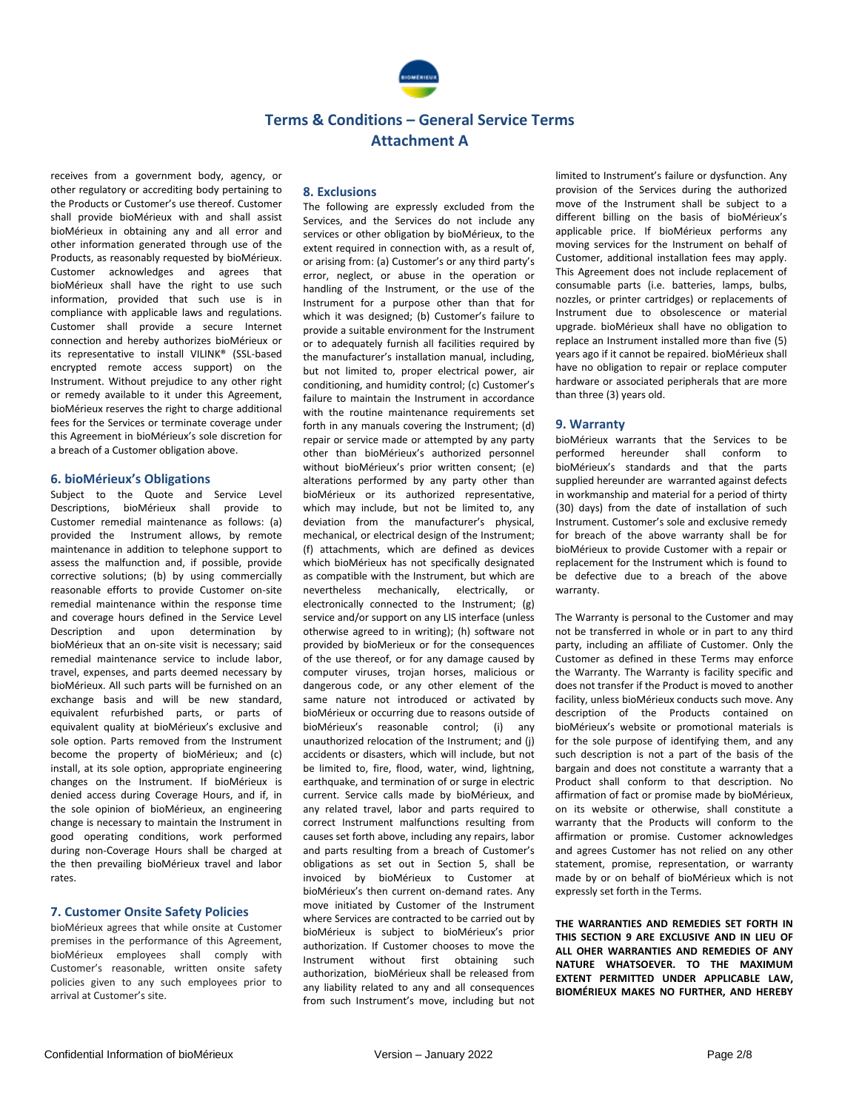

receives from a government body, agency, or other regulatory or accrediting body pertaining to the Products or Customer's use thereof. Customer shall provide bioMérieux with and shall assist bioMérieux in obtaining any and all error and other information generated through use of the Products, as reasonably requested by bioMérieux. Customer acknowledges and agrees that bioMérieux shall have the right to use such information, provided that such use is in compliance with applicable laws and regulations. Customer shall provide a secure Internet connection and hereby authorizes bioMérieux or its representative to install VILINK® (SSL-based encrypted remote access support) on the Instrument. Without prejudice to any other right or remedy available to it under this Agreement, bioMérieux reserves the right to charge additional fees for the Services or terminate coverage under this Agreement in bioMérieux's sole discretion for a breach of a Customer obligation above.

### **6. bioMérieux's Obligations**

Subject to the Quote and Service Level Descriptions, bioMérieux shall provide to Customer remedial maintenance as follows: (a) provided the Instrument allows, by remote maintenance in addition to telephone support to assess the malfunction and, if possible, provide corrective solutions; (b) by using commercially reasonable efforts to provide Customer on-site remedial maintenance within the response time and coverage hours defined in the Service Level Description and upon determination by bioMérieux that an on-site visit is necessary; said remedial maintenance service to include labor, travel, expenses, and parts deemed necessary by bioMérieux. All such parts will be furnished on an exchange basis and will be new standard, equivalent refurbished parts, or parts of equivalent quality at bioMérieux's exclusive and sole option. Parts removed from the Instrument become the property of bioMérieux; and (c) install, at its sole option, appropriate engineering changes on the Instrument. If bioMérieux is denied access during Coverage Hours, and if, in the sole opinion of bioMérieux, an engineering change is necessary to maintain the Instrument in good operating conditions, work performed during non-Coverage Hours shall be charged at the then prevailing bioMérieux travel and labor rates.

### **7. Customer Onsite Safety Policies**

bioMérieux agrees that while onsite at Customer premises in the performance of this Agreement, bioMérieux employees shall comply with Customer's reasonable, written onsite safety policies given to any such employees prior to arrival at Customer's site.

### **8. Exclusions**

The following are expressly excluded from the Services, and the Services do not include any services or other obligation by bioMérieux, to the extent required in connection with, as a result of, or arising from: (a) Customer's or any third party's error, neglect, or abuse in the operation or handling of the Instrument, or the use of the Instrument for a purpose other than that for which it was designed; (b) Customer's failure to provide a suitable environment for the Instrument or to adequately furnish all facilities required by the manufacturer's installation manual, including, but not limited to, proper electrical power, air conditioning, and humidity control; (c) Customer's failure to maintain the Instrument in accordance with the routine maintenance requirements set forth in any manuals covering the Instrument; (d) repair or service made or attempted by any party other than bioMérieux's authorized personnel without bioMérieux's prior written consent; (e) alterations performed by any party other than bioMérieux or its authorized representative, which may include, but not be limited to, any deviation from the manufacturer's physical, mechanical, or electrical design of the Instrument; (f) attachments, which are defined as devices which bioMérieux has not specifically designated as compatible with the Instrument, but which are nevertheless mechanically, electrically, or electronically connected to the Instrument; (g) service and/or support on any LIS interface (unless otherwise agreed to in writing); (h) software not provided by bioMerieux or for the consequences of the use thereof, or for any damage caused by computer viruses, trojan horses, malicious or dangerous code, or any other element of the same nature not introduced or activated by bioMérieux or occurring due to reasons outside of bioMérieux's reasonable control; (i) any unauthorized relocation of the Instrument; and (j) accidents or disasters, which will include, but not be limited to, fire, flood, water, wind, lightning, earthquake, and termination of or surge in electric current. Service calls made by bioMérieux, and any related travel, labor and parts required to correct Instrument malfunctions resulting from causes set forth above, including any repairs, labor and parts resulting from a breach of Customer's obligations as set out in Section 5, shall be invoiced by bioMérieux to Customer at bioMérieux's then current on-demand rates. Any move initiated by Customer of the Instrument where Services are contracted to be carried out by bioMérieux is subject to bioMérieux's prior authorization. If Customer chooses to move the Instrument without first obtaining such authorization, bioMérieux shall be released from any liability related to any and all consequences from such Instrument's move, including but not

limited to Instrument's failure or dysfunction. Any provision of the Services during the authorized move of the Instrument shall be subject to a different billing on the basis of bioMérieux's applicable price. If bioMérieux performs any moving services for the Instrument on behalf of Customer, additional installation fees may apply. This Agreement does not include replacement of consumable parts (i.e. batteries, lamps, bulbs, nozzles, or printer cartridges) or replacements of Instrument due to obsolescence or material upgrade. bioMérieux shall have no obligation to replace an Instrument installed more than five (5) years ago if it cannot be repaired. bioMérieux shall have no obligation to repair or replace computer hardware or associated peripherals that are more than three (3) years old.

### **9. Warranty**

bioMérieux warrants that the Services to be performed hereunder shall conform to bioMérieux's standards and that the parts supplied hereunder are warranted against defects in workmanship and material for a period of thirty (30) days) from the date of installation of such Instrument. Customer's sole and exclusive remedy for breach of the above warranty shall be for bioMérieux to provide Customer with a repair or replacement for the Instrument which is found to be defective due to a breach of the above warranty.

The Warranty is personal to the Customer and may not be transferred in whole or in part to any third party, including an affiliate of Customer. Only the Customer as defined in these Terms may enforce the Warranty. The Warranty is facility specific and does not transfer if the Product is moved to another facility, unless bioMérieux conducts such move. Any description of the Products contained on bioMérieux's website or promotional materials is for the sole purpose of identifying them, and any such description is not a part of the basis of the bargain and does not constitute a warranty that a Product shall conform to that description. No affirmation of fact or promise made by bioMérieux, on its website or otherwise, shall constitute a warranty that the Products will conform to the affirmation or promise. Customer acknowledges and agrees Customer has not relied on any other statement, promise, representation, or warranty made by or on behalf of bioMérieux which is not expressly set forth in the Terms.

**THE WARRANTIES AND REMEDIES SET FORTH IN THIS SECTION 9 ARE EXCLUSIVE AND IN LIEU OF ALL OHER WARRANTIES AND REMEDIES OF ANY NATURE WHATSOEVER. TO THE MAXIMUM EXTENT PERMITTED UNDER APPLICABLE LAW, BIOMÉRIEUX MAKES NO FURTHER, AND HEREBY**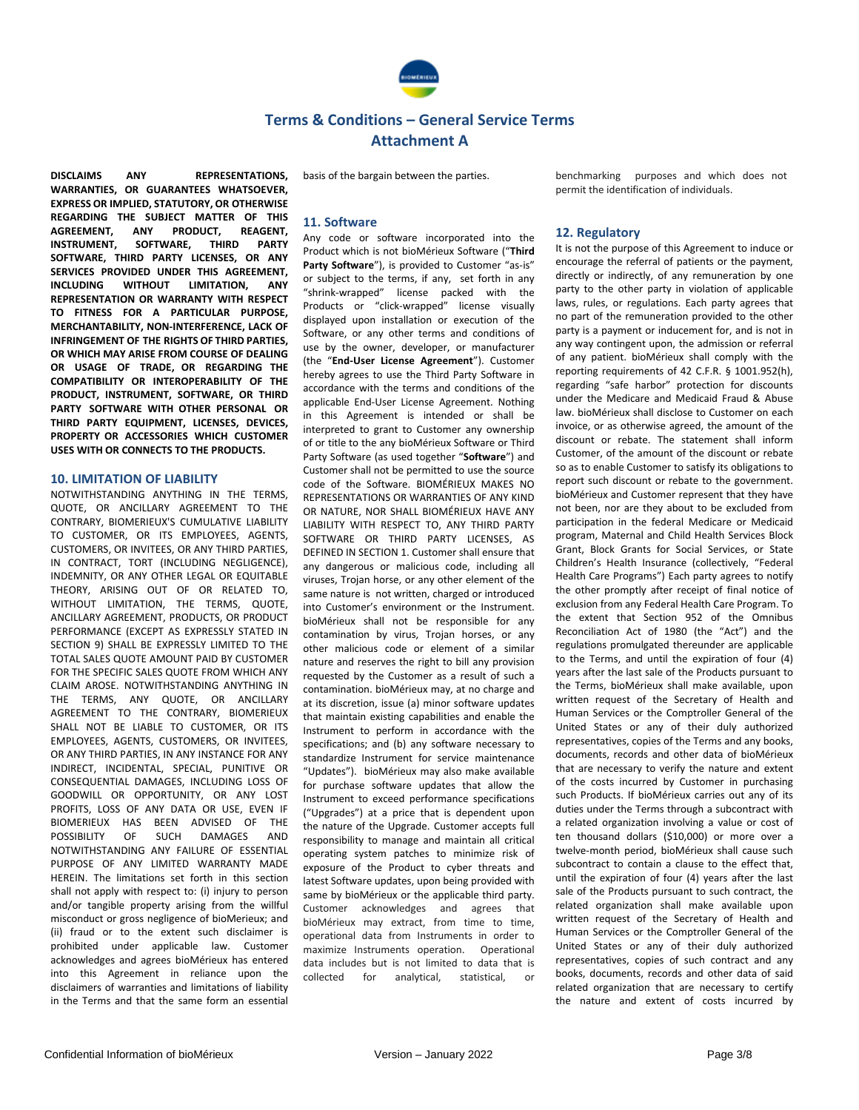

basis of the bargain between the parties.

**DISCLAIMS ANY REPRESENTATIONS, WARRANTIES, OR GUARANTEES WHATSOEVER, EXPRESS OR IMPLIED, STATUTORY, OR OTHERWISE REGARDING THE SUBJECT MATTER OF THIS AGREEMENT, ANY PRODUCT, REAGENT, INSTRUMENT, SOFTWARE, THIRD PARTY SOFTWARE, THIRD PARTY LICENSES, OR ANY SERVICES PROVIDED UNDER THIS AGREEMENT, INCLUDING WITHOUT LIMITATION, ANY REPRESENTATION OR WARRANTY WITH RESPECT TO FITNESS FOR A PARTICULAR PURPOSE MERCHANTABILITY, NON-INTERFERENCE, LACK OF INFRINGEMENT OF THE RIGHTS OF THIRD PARTIES, OR WHICH MAY ARISE FROM COURSE OF DEALING OR USAGE OF TRADE, OR REGARDING THE COMPATIBILITY OR INTEROPERABILITY OF THE PRODUCT, INSTRUMENT, SOFTWARE, OR THIRD PARTY SOFTWARE WITH OTHER PERSONAL OR THIRD PARTY EQUIPMENT, LICENSES, DEVICES, PROPERTY OR ACCESSORIES WHICH CUSTOMER USES WITH OR CONNECTS TO THE PRODUCTS.**

### **10. LIMITATION OF LIABILITY**

NOTWITHSTANDING ANYTHING IN THE TERMS, QUOTE, OR ANCILLARY AGREEMENT TO THE CONTRARY, BIOMERIEUX'S CUMULATIVE LIABILITY TO CUSTOMER, OR ITS EMPLOYEES, AGENTS, CUSTOMERS, OR INVITEES, OR ANY THIRD PARTIES, IN CONTRACT, TORT (INCLUDING NEGLIGENCE), INDEMNITY, OR ANY OTHER LEGAL OR EQUITABLE THEORY, ARISING OUT OF OR RELATED TO, WITHOUT LIMITATION, THE TERMS, QUOTE, ANCILLARY AGREEMENT, PRODUCTS, OR PRODUCT PERFORMANCE (EXCEPT AS EXPRESSLY STATED IN SECTION 9) SHALL BE EXPRESSLY LIMITED TO THE TOTAL SALES QUOTE AMOUNT PAID BY CUSTOMER FOR THE SPECIFIC SALES QUOTE FROM WHICH ANY CLAIM AROSE. NOTWITHSTANDING ANYTHING IN THE TERMS, ANY QUOTE, OR ANCILLARY AGREEMENT TO THE CONTRARY, BIOMERIEUX SHALL NOT BE LIABLE TO CUSTOMER, OR ITS EMPLOYEES, AGENTS, CUSTOMERS, OR INVITEES, OR ANY THIRD PARTIES, IN ANY INSTANCE FOR ANY INDIRECT, INCIDENTAL, SPECIAL, PUNITIVE OR CONSEQUENTIAL DAMAGES, INCLUDING LOSS OF GOODWILL OR OPPORTUNITY, OR ANY LOST PROFITS, LOSS OF ANY DATA OR USE, EVEN IF BIOMERIEUX HAS BEEN ADVISED OF THE POSSIBILITY OF SUCH DAMAGES AND NOTWITHSTANDING ANY FAILURE OF ESSENTIAL PURPOSE OF ANY LIMITED WARRANTY MADE HEREIN. The limitations set forth in this section shall not apply with respect to: (i) injury to person and/or tangible property arising from the willful misconduct or gross negligence of bioMerieux; and (ii) fraud or to the extent such disclaimer is prohibited under applicable law. Customer acknowledges and agrees bioMérieux has entered into this Agreement in reliance upon the disclaimers of warranties and limitations of liability in the Terms and that the same form an essential

**11. Software**

Any code or software incorporated into the Product which is not bioMérieux Software ("**Third**  Party Software"), is provided to Customer "as-is" or subject to the terms, if any, set forth in any "shrink-wrapped" license packed with the Products or "click-wrapped" license visually displayed upon installation or execution of the Software, or any other terms and conditions of use by the owner, developer, or manufacturer (the "**End-User License Agreement**"). Customer hereby agrees to use the Third Party Software in accordance with the terms and conditions of the applicable End-User License Agreement. Nothing in this Agreement is intended or shall be interpreted to grant to Customer any ownership of or title to the any bioMérieux Software or Third Party Software (as used together "**Software**") and Customer shall not be permitted to use the source code of the Software. BIOMÉRIEUX MAKES NO REPRESENTATIONS OR WARRANTIES OF ANY KIND OR NATURE, NOR SHALL BIOMÉRIEUX HAVE ANY LIABILITY WITH RESPECT TO, ANY THIRD PARTY SOFTWARE OR THIRD PARTY LICENSES, AS DEFINED IN SECTION 1. Customer shall ensure that any dangerous or malicious code, including all viruses, Trojan horse, or any other element of the same nature is not written, charged or introduced into Customer's environment or the Instrument. bioMérieux shall not be responsible for any contamination by virus, Trojan horses, or any other malicious code or element of a similar nature and reserves the right to bill any provision requested by the Customer as a result of such a contamination. bioMérieux may, at no charge and at its discretion, issue (a) minor software updates that maintain existing capabilities and enable the Instrument to perform in accordance with the specifications; and (b) any software necessary to standardize Instrument for service maintenance "Updates"). bioMérieux may also make available for purchase software updates that allow the Instrument to exceed performance specifications ("Upgrades") at a price that is dependent upon the nature of the Upgrade. Customer accepts full responsibility to manage and maintain all critical operating system patches to minimize risk of exposure of the Product to cyber threats and latest Software updates, upon being provided with same by bioMérieux or the applicable third party. Customer acknowledges and agrees that bioMérieux may extract, from time to time, operational data from Instruments in order to maximize Instruments operation. Operational data includes but is not limited to data that is collected for analytical, statistical, or

benchmarking purposes and which does not permit the identification of individuals.

### **12. Regulatory**

It is not the purpose of this Agreement to induce or encourage the referral of patients or the payment, directly or indirectly, of any remuneration by one party to the other party in violation of applicable laws, rules, or regulations. Each party agrees that no part of the remuneration provided to the other party is a payment or inducement for, and is not in any way contingent upon, the admission or referral of any patient. bioMérieux shall comply with the reporting requirements of 42 C.F.R. § 1001.952(h), regarding "safe harbor" protection for discounts under the Medicare and Medicaid Fraud & Abuse law. bioMérieux shall disclose to Customer on each invoice, or as otherwise agreed, the amount of the discount or rebate. The statement shall inform Customer, of the amount of the discount or rebate so as to enable Customer to satisfy its obligations to report such discount or rebate to the government. bioMérieux and Customer represent that they have not been, nor are they about to be excluded from participation in the federal Medicare or Medicaid program, Maternal and Child Health Services Block Grant, Block Grants for Social Services, or State Children's Health Insurance (collectively, "Federal Health Care Programs") Each party agrees to notify the other promptly after receipt of final notice of exclusion from any Federal Health Care Program. To the extent that Section 952 of the Omnibus Reconciliation Act of 1980 (the "Act") and the regulations promulgated thereunder are applicable to the Terms, and until the expiration of four (4) years after the last sale of the Products pursuant to the Terms, bioMérieux shall make available, upon written request of the Secretary of Health and Human Services or the Comptroller General of the United States or any of their duly authorized representatives, copies of the Terms and any books, documents, records and other data of bioMérieux that are necessary to verify the nature and extent of the costs incurred by Customer in purchasing such Products. If bioMérieux carries out any of its duties under the Terms through a subcontract with a related organization involving a value or cost of ten thousand dollars (\$10,000) or more over a twelve-month period, bioMérieux shall cause such subcontract to contain a clause to the effect that until the expiration of four (4) years after the last sale of the Products pursuant to such contract, the related organization shall make available upon written request of the Secretary of Health and Human Services or the Comptroller General of the United States or any of their duly authorized representatives, copies of such contract and any books, documents, records and other data of said related organization that are necessary to certify the nature and extent of costs incurred by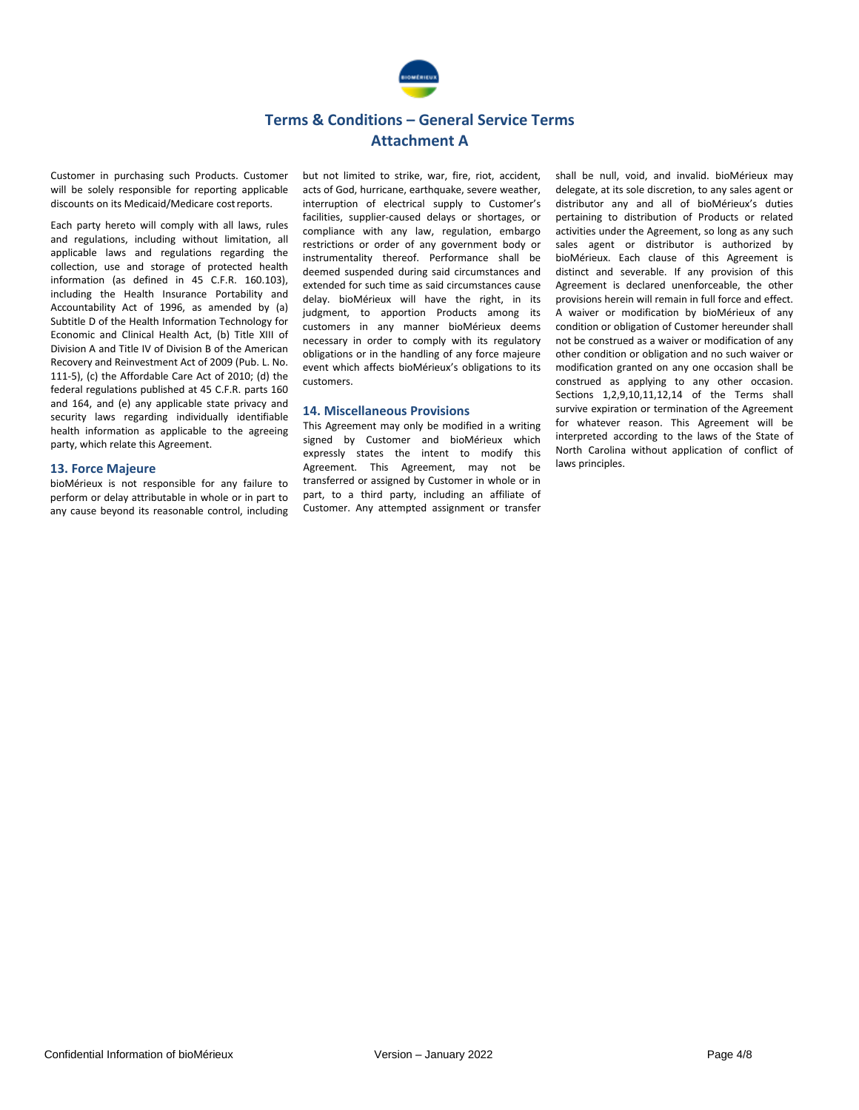

Customer in purchasing such Products. Customer will be solely responsible for reporting applicable discounts on its Medicaid/Medicare costreports.

Each party hereto will comply with all laws, rules and regulations, including without limitation, all applicable laws and regulations regarding the collection, use and storage of protected health information (as defined in 45 C.F.R. 160.103), including the Health Insurance Portability and Accountability Act of 1996, as amended by (a) Subtitle D of the Health Information Technology for Economic and Clinical Health Act, (b) Title XIII of Division A and Title IV of Division B of the American Recovery and Reinvestment Act of 2009 (Pub. L. No. 111-5), (c) the Affordable Care Act of 2010; (d) the federal regulations published at 45 C.F.R. parts 160 and 164, and (e) any applicable state privacy and security laws regarding individually identifiable health information as applicable to the agreeing party, which relate this Agreement.

### **13. Force Majeure**

bioMérieux is not responsible for any failure to perform or delay attributable in whole or in part to any cause beyond its reasonable control, including but not limited to strike, war, fire, riot, accident, acts of God, hurricane, earthquake, severe weather, interruption of electrical supply to Customer's facilities, supplier-caused delays or shortages, or compliance with any law, regulation, embargo restrictions or order of any government body or instrumentality thereof. Performance shall be deemed suspended during said circumstances and extended for such time as said circumstances cause delay. bioMérieux will have the right, in its judgment, to apportion Products among its customers in any manner bioMérieux deems necessary in order to comply with its regulatory obligations or in the handling of any force majeure event which affects bioMérieux's obligations to its customers.

### **14. Miscellaneous Provisions**

This Agreement may only be modified in a writing signed by Customer and bioMérieux which expressly states the intent to modify this Agreement. This Agreement, may not be transferred or assigned by Customer in whole or in part, to a third party, including an affiliate of Customer. Any attempted assignment or transfer shall be null, void, and invalid. bioMérieux may delegate, at its sole discretion, to any sales agent or distributor any and all of bioMérieux's duties pertaining to distribution of Products or related activities under the Agreement, so long as any such sales agent or distributor is authorized by bioMérieux. Each clause of this Agreement is distinct and severable. If any provision of this Agreement is declared unenforceable, the other provisions herein will remain in full force and effect. A waiver or modification by bioMérieux of any condition or obligation of Customer hereunder shall not be construed as a waiver or modification of any other condition or obligation and no such waiver or modification granted on any one occasion shall be construed as applying to any other occasion. Sections 1,2,9,10,11,12,14 of the Terms shall survive expiration or termination of the Agreement for whatever reason. This Agreement will be interpreted according to the laws of the State of North Carolina without application of conflict of laws principles.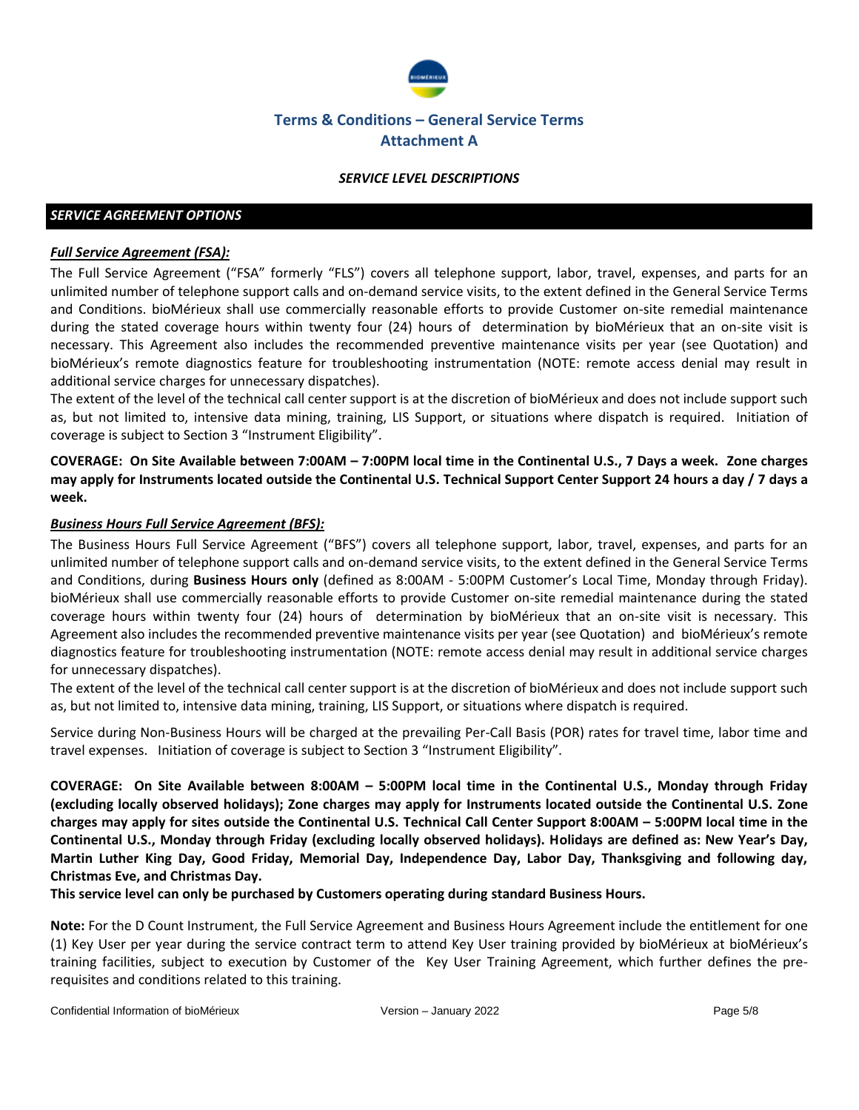

### *SERVICE LEVEL DESCRIPTIONS*

## *SERVICE AGREEMENT OPTIONS*

### *Full Service Agreement (FSA):*

The Full Service Agreement ("FSA" formerly "FLS") covers all telephone support, labor, travel, expenses, and parts for an unlimited number of telephone support calls and on-demand service visits, to the extent defined in the General Service Terms and Conditions. bioMérieux shall use commercially reasonable efforts to provide Customer on-site remedial maintenance during the stated coverage hours within twenty four (24) hours of determination by bioMérieux that an on-site visit is necessary. This Agreement also includes the recommended preventive maintenance visits per year (see Quotation) and bioMérieux's remote diagnostics feature for troubleshooting instrumentation (NOTE: remote access denial may result in additional service charges for unnecessary dispatches).

The extent of the level of the technical call center support is at the discretion of bioMérieux and does not include support such as, but not limited to, intensive data mining, training, LIS Support, or situations where dispatch is required. Initiation of coverage is subject to Section 3 "Instrument Eligibility".

**COVERAGE: On Site Available between 7:00AM – 7:00PM local time in the Continental U.S., 7 Days a week. Zone charges may apply for Instruments located outside the Continental U.S. Technical Support Center Support 24 hours a day / 7 days a week.**

### *Business Hours Full Service Agreement (BFS):*

The Business Hours Full Service Agreement ("BFS") covers all telephone support, labor, travel, expenses, and parts for an unlimited number of telephone support calls and on-demand service visits, to the extent defined in the General Service Terms and Conditions, during **Business Hours only** (defined as 8:00AM - 5:00PM Customer's Local Time, Monday through Friday). bioMérieux shall use commercially reasonable efforts to provide Customer on-site remedial maintenance during the stated coverage hours within twenty four (24) hours of determination by bioMérieux that an on-site visit is necessary. This Agreement also includes the recommended preventive maintenance visits per year (see Quotation) and bioMérieux's remote diagnostics feature for troubleshooting instrumentation (NOTE: remote access denial may result in additional service charges for unnecessary dispatches).

The extent of the level of the technical call center support is at the discretion of bioMérieux and does not include support such as, but not limited to, intensive data mining, training, LIS Support, or situations where dispatch is required.

Service during Non-Business Hours will be charged at the prevailing Per-Call Basis (POR) rates for travel time, labor time and travel expenses. Initiation of coverage is subject to Section 3 "Instrument Eligibility".

**COVERAGE: On Site Available between 8:00AM – 5:00PM local time in the Continental U.S., Monday through Friday (excluding locally observed holidays); Zone charges may apply for Instruments located outside the Continental U.S. Zone charges may apply for sites outside the Continental U.S. Technical Call Center Support 8:00AM – 5:00PM local time in the Continental U.S., Monday through Friday (excluding locally observed holidays). Holidays are defined as: New Year's Day, Martin Luther King Day, Good Friday, Memorial Day, Independence Day, Labor Day, Thanksgiving and following day, Christmas Eve, and Christmas Day.**

**This service level can only be purchased by Customers operating during standard Business Hours.**

**Note:** For the D Count Instrument, the Full Service Agreement and Business Hours Agreement include the entitlement for one (1) Key User per year during the service contract term to attend Key User training provided by bioMérieux at bioMérieux's training facilities, subject to execution by Customer of the Key User Training Agreement, which further defines the prerequisites and conditions related to this training.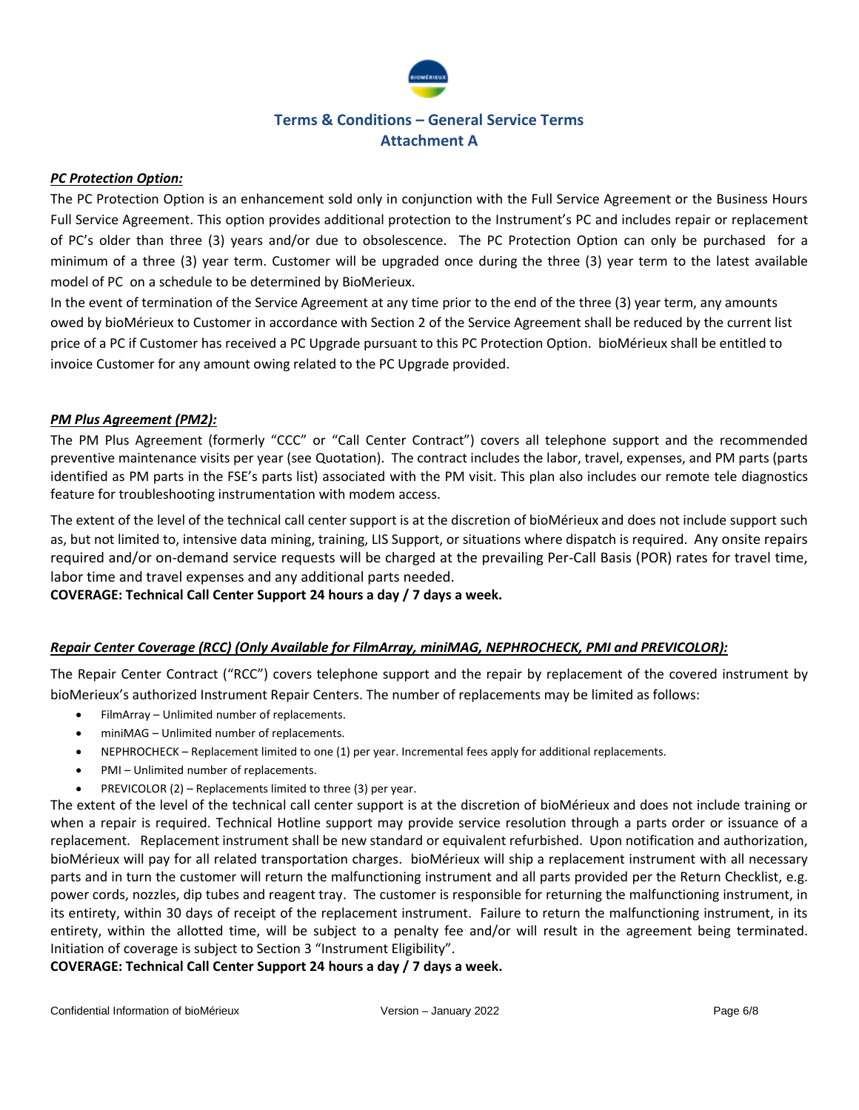

## *PC Protection Option:*

The PC Protection Option is an enhancement sold only in conjunction with the Full Service Agreement or the Business Hours Full Service Agreement. This option provides additional protection to the Instrument's PC and includes repair or replacement of PC's older than three (3) years and/or due to obsolescence. The PC Protection Option can only be purchased for a minimum of a three (3) year term. Customer will be upgraded once during the three (3) year term to the latest available model of PC on a schedule to be determined by BioMerieux.

In the event of termination of the Service Agreement at any time prior to the end of the three (3) year term, any amounts owed by bioMérieux to Customer in accordance with Section 2 of the Service Agreement shall be reduced by the current list price of a PC if Customer has received a PC Upgrade pursuant to this PC Protection Option. bioMérieux shall be entitled to invoice Customer for any amount owing related to the PC Upgrade provided.

## *PM Plus Agreement (PM2):*

The PM Plus Agreement (formerly "CCC" or "Call Center Contract") covers all telephone support and the recommended preventive maintenance visits per year (see Quotation). The contract includes the labor, travel, expenses, and PM parts (parts identified as PM parts in the FSE's parts list) associated with the PM visit. This plan also includes our remote tele diagnostics feature for troubleshooting instrumentation with modem access.

The extent of the level of the technical call center support is at the discretion of bioMérieux and does not include support such as, but not limited to, intensive data mining, training, LIS Support, or situations where dispatch is required. Any onsite repairs required and/or on-demand service requests will be charged at the prevailing Per-Call Basis (POR) rates for travel time, labor time and travel expenses and any additional parts needed.

**COVERAGE: Technical Call Center Support 24 hours a day / 7 days a week.**

## *Repair Center Coverage (RCC) (Only Available for FilmArray, miniMAG, NEPHROCHECK, PMI and PREVICOLOR):*

The Repair Center Contract ("RCC") covers telephone support and the repair by replacement of the covered instrument by bioMerieux's authorized Instrument Repair Centers. The number of replacements may be limited as follows:

- FilmArray Unlimited number of replacements.
- miniMAG Unlimited number of replacements.
- NEPHROCHECK Replacement limited to one (1) per year. Incremental fees apply for additional replacements.
- PMI Unlimited number of replacements.
- PREVICOLOR (2) Replacements limited to three (3) per year.

The extent of the level of the technical call center support is at the discretion of bioMérieux and does not include training or when a repair is required. Technical Hotline support may provide service resolution through a parts order or issuance of a replacement. Replacement instrument shall be new standard or equivalent refurbished. Upon notification and authorization, bioMérieux will pay for all related transportation charges. bioMérieux will ship a replacement instrument with all necessary parts and in turn the customer will return the malfunctioning instrument and all parts provided per the Return Checklist, e.g. power cords, nozzles, dip tubes and reagent tray. The customer is responsible for returning the malfunctioning instrument, in its entirety, within 30 days of receipt of the replacement instrument. Failure to return the malfunctioning instrument, in its entirety, within the allotted time, will be subject to a penalty fee and/or will result in the agreement being terminated. Initiation of coverage is subject to Section 3 "Instrument Eligibility".

**COVERAGE: Technical Call Center Support 24 hours a day / 7 days a week.**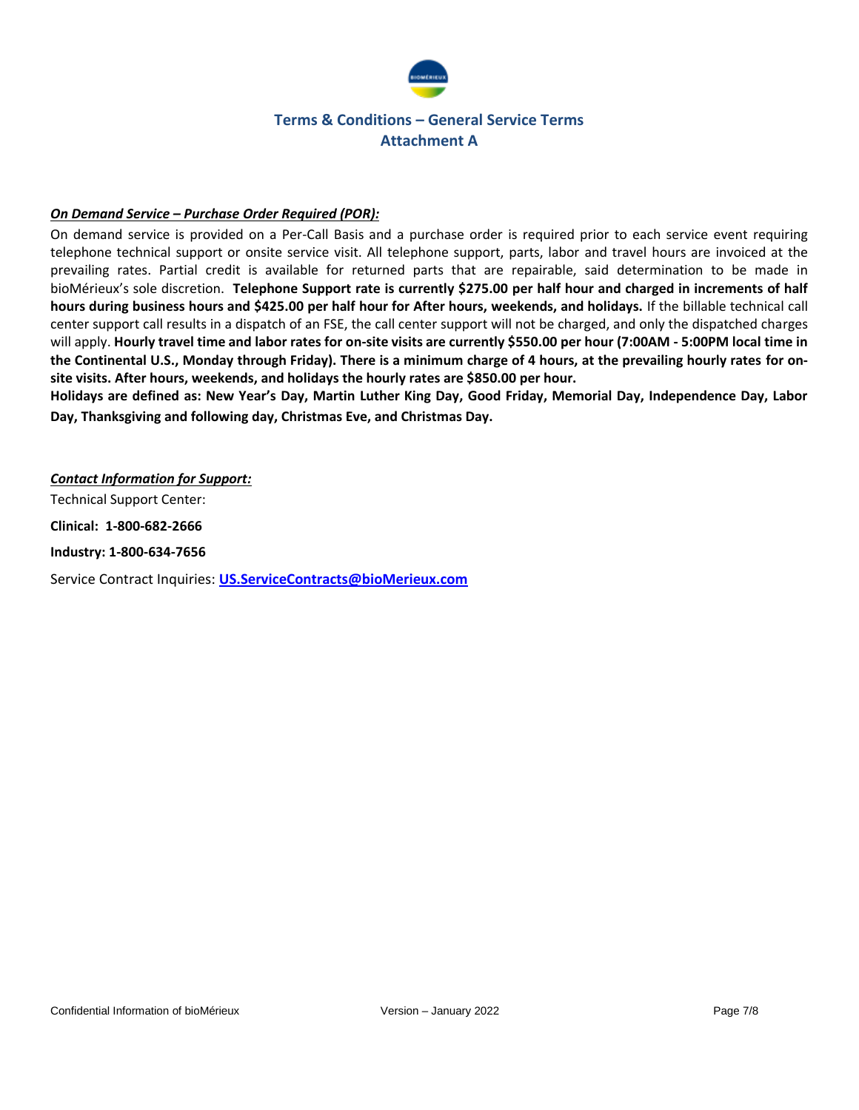

## *On Demand Service – Purchase Order Required (POR):*

On demand service is provided on a Per-Call Basis and a purchase order is required prior to each service event requiring telephone technical support or onsite service visit. All telephone support, parts, labor and travel hours are invoiced at the prevailing rates. Partial credit is available for returned parts that are repairable, said determination to be made in bioMérieux's sole discretion. **Telephone Support rate is currently \$275.00 per half hour and charged in increments of half hours during business hours and \$425.00 per half hour for After hours, weekends, and holidays.** If the billable technical call center support call results in a dispatch of an FSE, the call center support will not be charged, and only the dispatched charges will apply. **Hourly travel time and labor rates for on-site visits are currently \$550.00 per hour (7:00AM - 5:00PM local time in the Continental U.S., Monday through Friday). There is a minimum charge of 4 hours, at the prevailing hourly rates for onsite visits. After hours, weekends, and holidays the hourly rates are \$850.00 per hour.** 

**Holidays are defined as: New Year's Day, Martin Luther King Day, Good Friday, Memorial Day, Independence Day, Labor Day, Thanksgiving and following day, Christmas Eve, and Christmas Day.** 

### *Contact Information for Support:*

Technical Support Center:

**Clinical: 1-800-682-2666**

**Industry: 1-800-634-7656**

Service Contract Inquiries: **[US.ServiceContracts@bioMerieux.com](mailto:US.ServiceContracts@bioMerieux.com)**